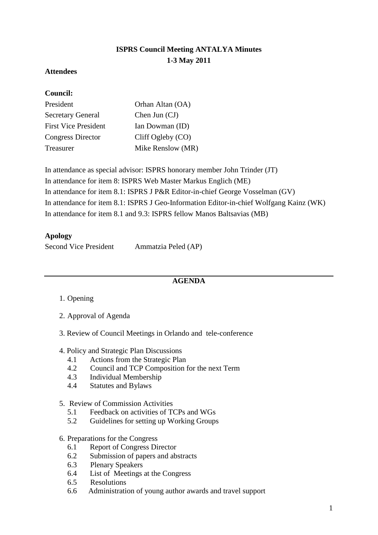# **ISPRS Council Meeting ANTALYA Minutes 1-3 May 2011**

### **Attendees**

#### **Council:**

| President                   | Orhan Altan (OA)  |
|-----------------------------|-------------------|
| <b>Secretary General</b>    | Chen Jun $(CJ)$   |
| <b>First Vice President</b> | Ian Dowman (ID)   |
| Congress Director           | Cliff Ogleby (CO) |
| Treasurer                   | Mike Renslow (MR) |

In attendance as special advisor: ISPRS honorary member John Trinder (JT) In attendance for item 8: ISPRS Web Master Markus Englich (ME) In attendance for item 8.1: ISPRS J P&R Editor-in-chief George Vosselman (GV) In attendance for item 8.1: ISPRS J Geo-Information Editor-in-chief Wolfgang Kainz (WK) In attendance for item 8.1 and 9.3: ISPRS fellow Manos Baltsavias (MB)

#### **Apology**

| <b>Second Vice President</b> | Ammatzia Peled (AP) |
|------------------------------|---------------------|
|                              |                     |

### **AGENDA**

- 1. Opening
- 2. Approval of Agenda
- 3. Review of Council Meetings in Orlando and tele-conference
- 4. Policy and Strategic Plan Discussions
	- 4.1 Actions from the Strategic Plan
	- 4.2 Council and TCP Composition for the next Term
	- 4.3 Individual Membership
	- 4.4 Statutes and Bylaws
- 5. Review of Commission Activities
	- 5.1 Feedback on activities of TCPs and WGs
	- 5.2 Guidelines for setting up Working Groups

#### 6. Preparations for the Congress

- 6.1 Report of Congress Director
- 6.2 Submission of papers and abstracts
- 6.3 Plenary Speakers
- 6.4 List of Meetings at the Congress
- 6.5 Resolutions
- 6.6 Administration of young author awards and travel support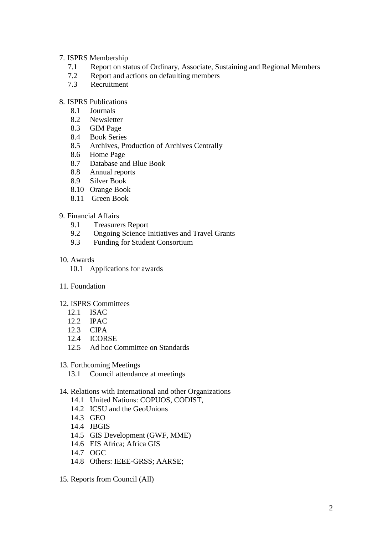#### 7. ISPRS Membership

- 7.1 Report on status of Ordinary, Associate, Sustaining and Regional Members
- 7.2 Report and actions on defaulting members
- 7.3 Recruitment

#### 8. ISPRS Publications

- 8.1 Journals
- 8.2 Newsletter
- 8.3 GIM Page
- 8.4 Book Series
- 8.5 Archives, Production of Archives Centrally<br>8.6 Home Page
- Home Page
- 8.7 Database and Blue Book
- 8.8 Annual reports
- 8.9 Silver Book
- 8.10 Orange Book
- 8.11 Green Book

#### 9. Financial Affairs

- 9.1 Treasurers Report<br>9.2 Ongoing Science I
- 9.2 Ongoing Science Initiatives and Travel Grants<br>9.3 Funding for Student Consortium
- Funding for Student Consortium

#### 10. Awards

- 10.1 Applications for awards
- 11. Foundation
- 12. ISPRS Committees
	- 12.1 ISAC
	- 12.2 IPAC
	- 12.3 CIPA
	- 12.4 ICORSE
	- 12.5 Ad hoc Committee on Standards
- 13. Forthcoming Meetings
	- 13.1 Council attendance at meetings
- 14. Relations with International and other Organizations
	- 14.1 United Nations: COPUOS, CODIST,
	- 14.2 ICSU and the GeoUnions
	- 14.3 GEO
	- 14.4 JBGIS
	- 14.5 GIS Development (GWF, MME)
	- 14.6 EIS Africa; Africa GIS
	- 14.7 OGC
	- 14.8 Others: IEEE-GRSS; AARSE;
- 15. Reports from Council (All)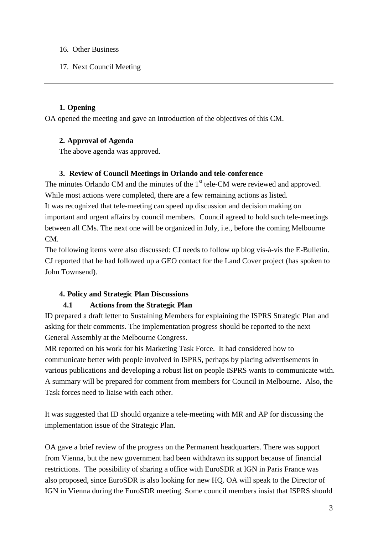- 16. Other Business
- 17. Next Council Meeting

# **1. Opening**

OA opened the meeting and gave an introduction of the objectives of this CM.

### **2. Approval of Agenda**

The above agenda was approved.

### **3. Review of Council Meetings in Orlando and tele-conference**

The minutes Orlando CM and the minutes of the 1<sup>st</sup> tele-CM were reviewed and approved. While most actions were completed, there are a few remaining actions as listed. It was recognized that tele-meeting can speed up discussion and decision making on important and urgent affairs by council members. Council agreed to hold such tele-meetings between all CMs. The next one will be organized in July, i.e., before the coming Melbourne CM.

The following items were also discussed: CJ needs to follow up blog vis-à-vis the E-Bulletin. CJ reported that he had followed up a GEO contact for the Land Cover project (has spoken to John Townsend).

# **4. Policy and Strategic Plan Discussions**

# **4.1 Actions from the Strategic Plan**

ID prepared a draft letter to Sustaining Members for explaining the ISPRS Strategic Plan and asking for their comments. The implementation progress should be reported to the next General Assembly at the Melbourne Congress.

MR reported on his work for his Marketing Task Force. It had considered how to communicate better with people involved in ISPRS, perhaps by placing advertisements in various publications and developing a robust list on people ISPRS wants to communicate with. A summary will be prepared for comment from members for Council in Melbourne. Also, the Task forces need to liaise with each other.

It was suggested that ID should organize a tele-meeting with MR and AP for discussing the implementation issue of the Strategic Plan.

OA gave a brief review of the progress on the Permanent headquarters. There was support from Vienna, but the new government had been withdrawn its support because of financial restrictions. The possibility of sharing a office with EuroSDR at IGN in Paris France was also proposed, since EuroSDR is also looking for new HQ. OA will speak to the Director of IGN in Vienna during the EuroSDR meeting. Some council members insist that ISPRS should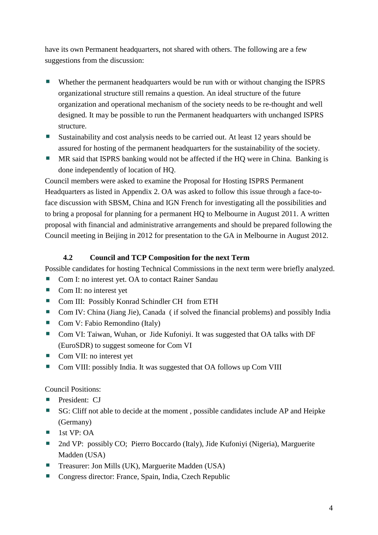have its own Permanent headquarters, not shared with others. The following are a few suggestions from the discussion:

- Whether the permanent headquarters would be run with or without changing the ISPRS organizational structure still remains a question. An ideal structure of the future organization and operational mechanism of the society needs to be re-thought and well designed. It may be possible to run the Permanent headquarters with unchanged ISPRS structure.
- Sustainability and cost analysis needs to be carried out. At least 12 years should be assured for hosting of the permanent headquarters for the sustainability of the society.
- MR said that ISPRS banking would not be affected if the HQ were in China. Banking is done independently of location of HQ.

Council members were asked to examine the Proposal for Hosting ISPRS Permanent Headquarters as listed in Appendix 2. OA was asked to follow this issue through a face-toface discussion with SBSM, China and IGN French for investigating all the possibilities and to bring a proposal for planning for a permanent HQ to Melbourne in August 2011. A written proposal with financial and administrative arrangements and should be prepared following the Council meeting in Beijing in 2012 for presentation to the GA in Melbourne in August 2012.

# **4.2 Council and TCP Composition for the next Term**

Possible candidates for hosting Technical Commissions in the next term were briefly analyzed.

- Com I: no interest yet. OA to contact Rainer Sandau
- Com II: no interest yet
- Com III: Possibly Konrad Schindler CH from ETH
- Com IV: China (Jiang Jie), Canada (if solved the financial problems) and possibly India
- Com V: Fabio Remondino (Italy)
- Com VI: Taiwan, Wuhan, or Jide Kufoniyi. It was suggested that OA talks with DF (EuroSDR) to suggest someone for Com VI
- Com VII: no interest yet
- a. Com VIII: possibly India. It was suggested that OA follows up Com VIII

Council Positions:

- **President: CJ**
- SG: Cliff not able to decide at the moment, possible candidates include AP and Heipke (Germany)
- $\blacksquare$  1st VP: OA
- 2nd VP: possibly CO; Pierro Boccardo (Italy), Jide Kufoniyi (Nigeria), Marguerite Madden (USA)
- Treasurer: Jon Mills (UK), Marguerite Madden (USA)
- Congress director: France, Spain, India, Czech Republic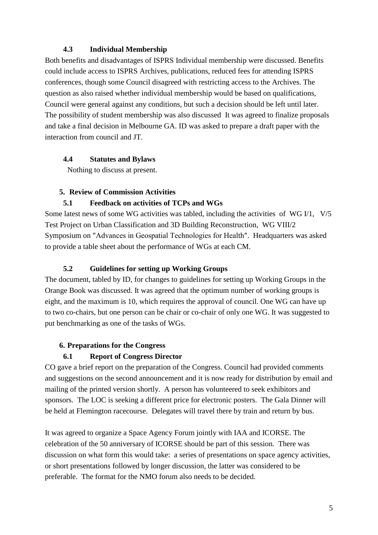### **4.3 Individual Membership**

Both benefits and disadvantages of ISPRS Individual membership were discussed. Benefits could include access to ISPRS Archives, publications, reduced fees for attending ISPRS conferences, though some Council disagreed with restricting access to the Archives. The question as also raised whether individual membership would be based on qualifications, Council were general against any conditions, but such a decision should be left until later. The possibility of student membership was also discussed It was agreed to finalize proposals and take a final decision in Melbourne GA. ID was asked to prepare a draft paper with the interaction from council and JT.

### **4.4 Statutes and Bylaws**

Nothing to discuss at present.

### **5. Review of Commission Activities**

### **5.1 Feedback on activities of TCPs and WGs**

Some latest news of some WG activities was tabled, including the activities of WG I/1, V/5 Test Project on Urban Classification and 3D Building Reconstruction, WG VIII/2 Symposium on ″Advances in Geospatial Technologies for Health″. Headquarters was asked to provide a table sheet about the performance of WGs at each CM.

### **5.2 Guidelines for setting up Working Groups**

The document, tabled by ID, for changes to guidelines for setting up Working Groups in the Orange Book was discussed. It was agreed that the optimum number of working groups is eight, and the maximum is 10, which requires the approval of council. One WG can have up to two co-chairs, but one person can be chair or co-chair of only one WG. It was suggested to put benchmarking as one of the tasks of WGs.

### **6. Preparations for the Congress**

### **6.1 Report of Congress Director**

CO gave a brief report on the preparation of the Congress. Council had provided comments and suggestions on the second announcement and it is now ready for distribution by email and mailing of the printed version shortly. A person has volunteered to seek exhibitors and sponsors. The LOC is seeking a different price for electronic posters. The Gala Dinner will be held at Flemington racecourse. Delegates will travel there by train and return by bus.

It was agreed to organize a Space Agency Forum jointly with IAA and ICORSE. The celebration of the 50 anniversary of ICORSE should be part of this session. There was discussion on what form this would take: a series of presentations on space agency activities, or short presentations followed by longer discussion, the latter was considered to be preferable. The format for the NMO forum also needs to be decided.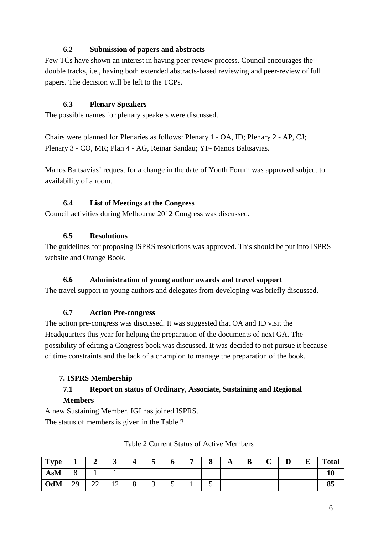# **6.2 Submission of papers and abstracts**

Few TCs have shown an interest in having peer-review process. Council encourages the double tracks, i.e., having both extended abstracts-based reviewing and peer-review of full papers. The decision will be left to the TCPs.

# **6.3 Plenary Speakers**

The possible names for plenary speakers were discussed.

Chairs were planned for Plenaries as follows: Plenary 1 - OA, ID; Plenary 2 - AP, CJ; Plenary 3 - CO, MR; Plan 4 - AG, Reinar Sandau; YF- Manos Baltsavias.

Manos Baltsavias' request for a change in the date of Youth Forum was approved subject to availability of a room.

### **6.4 List of Meetings at the Congress**

Council activities during Melbourne 2012 Congress was discussed.

### **6.5 Resolutions**

The guidelines for proposing ISPRS resolutions was approved. This should be put into ISPRS website and Orange Book.

### **6.6 Administration of young author awards and travel support**

The travel support to young authors and delegates from developing was briefly discussed.

### **6.7 Action Pre-congress**

The action pre-congress was discussed. It was suggested that OA and ID visit the Headquarters this year for helping the preparation of the documents of next GA. The possibility of editing a Congress book was discussed. It was decided to not pursue it because of time constraints and the lack of a champion to manage the preparation of the book.

### **7. ISPRS Membership**

# **7.1 Report on status of Ordinary, Associate, Sustaining and Regional Members**

A new Sustaining Member, IGI has joined ISPRS. The status of members is given in the Table 2.

| <b>Type</b> |                                                                     |         | ັ                                  | ັ | U             | $\Omega$<br>О | $\overline{1}$ | D<br>D | ⌒ | r<br>◡ | п<br>Ŀ | <b>Total</b> |
|-------------|---------------------------------------------------------------------|---------|------------------------------------|---|---------------|---------------|----------------|--------|---|--------|--------|--------------|
| <b>AsM</b>  |                                                                     |         |                                    |   |               |               |                |        |   |        |        |              |
| <b>OdM</b>  | $\gamma$ <sup><math>\alpha</math></sup><br>$\overline{\phantom{a}}$ | ^^<br>⊷ | $\sim$<br>$\overline{\phantom{0}}$ | ັ | $\sim$ $\sim$ | ັ             |                |        |   |        |        | vν           |

### Table 2 Current Status of Active Members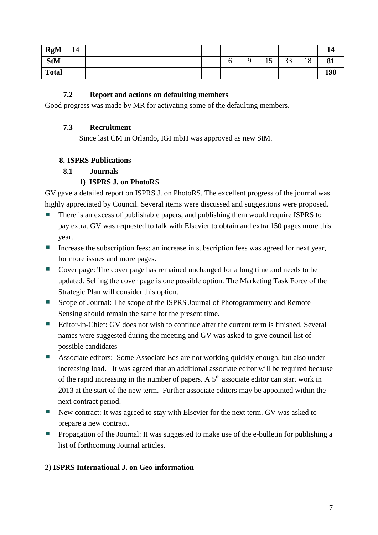| <b>RgM</b>   | 14 |  |  |  |  |              |               |    | 14  |
|--------------|----|--|--|--|--|--------------|---------------|----|-----|
| <b>StM</b>   |    |  |  |  |  | $\sim$<br>Îν | $\cap$<br>ر ر | 18 | 81  |
| <b>Total</b> |    |  |  |  |  |              |               |    | 190 |

### **7.2 Report and actions on defaulting members**

Good progress was made by MR for activating some of the defaulting members.

### **7.3 Recruitment**

Since last CM in Orlando, IGI mbH was approved as new StM.

### **8. ISPRS Publications**

### **8.1 Journals**

### **1) ISPRS J. on PhotoR**S

GV gave a detailed report on ISPRS J. on PhotoRS. The excellent progress of the journal was highly appreciated by Council. Several items were discussed and suggestions were proposed.

- There is an excess of publishable papers, and publishing them would require ISPRS to pay extra. GV was requested to talk with Elsevier to obtain and extra 150 pages more this year.
- Increase the subscription fees: an increase in subscription fees was agreed for next year, for more issues and more pages.
- Cover page: The cover page has remained unchanged for a long time and needs to be updated. Selling the cover page is one possible option. The Marketing Task Force of the Strategic Plan will consider this option.
- Scope of Journal: The scope of the ISPRS Journal of Photogrammetry and Remote Sensing should remain the same for the present time.
- Editor-in-Chief: GV does not wish to continue after the current term is finished. Several names were suggested during the meeting and GV was asked to give council list of possible candidates
- Associate editors: Some Associate Eds are not working quickly enough, but also under increasing load. It was agreed that an additional associate editor will be required because of the rapid increasing in the number of papers. A  $5<sup>th</sup>$  associate editor can start work in 2013 at the start of the new term. Further associate editors may be appointed within the next contract period.
- New contract: It was agreed to stay with Elsevier for the next term. GV was asked to prepare a new contract.
- **Propagation of the Journal: It was suggested to make use of the e-bulletin for publishing a** list of forthcoming Journal articles.

### **2) ISPRS International J. on Geo-information**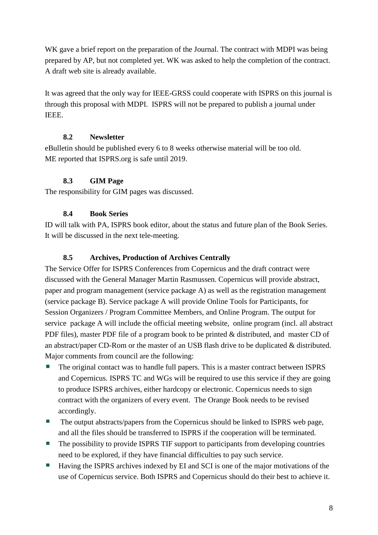WK gave a brief report on the preparation of the Journal. The contract with MDPI was being prepared by AP, but not completed yet. WK was asked to help the completion of the contract. A draft web site is already available.

It was agreed that the only way for IEEE-GRSS could cooperate with ISPRS on this journal is through this proposal with MDPI. ISPRS will not be prepared to publish a journal under IEEE.

# **8.2 Newsletter**

eBulletin should be published every 6 to 8 weeks otherwise material will be too old. ME reported that ISPRS.org is safe until 2019.

# **8.3 GIM Page**

The responsibility for GIM pages was discussed.

# **8.4 Book Series**

ID will talk with PA, ISPRS book editor, about the status and future plan of the Book Series. It will be discussed in the next tele-meeting.

# **8.5 Archives, Production of Archives Centrally**

The Service Offer for ISPRS Conferences from Copernicus and the draft contract were discussed with the General Manager Martin Rasmussen. Copernicus will provide abstract, paper and program management (service package A) as well as the registration management (service package B). Service package A will provide Online Tools for Participants, for Session Organizers / Program Committee Members, and Online Program. The output for service package A will include the official meeting website, online program (incl. all abstract PDF files), master PDF file of a program book to be printed & distributed, and master CD of an abstract/paper CD-Rom or the master of an USB flash drive to be duplicated & distributed. Major comments from council are the following:

- The original contact was to handle full papers. This is a master contract between ISPRS and Copernicus. ISPRS TC and WGs will be required to use this service if they are going to produce ISPRS archives, either hardcopy or electronic. Copernicus needs to sign contract with the organizers of every event. The Orange Book needs to be revised accordingly.
- $\mathcal{L}_{\rm{eff}}$ The output abstracts/papers from the Copernicus should be linked to ISPRS web page, and all the files should be transferred to ISPRS if the cooperation will be terminated.
- The possibility to provide ISPRS TIF support to participants from developing countries need to be explored, if they have financial difficulties to pay such service.
- **College** Having the ISPRS archives indexed by EI and SCI is one of the major motivations of the use of Copernicus service. Both ISPRS and Copernicus should do their best to achieve it.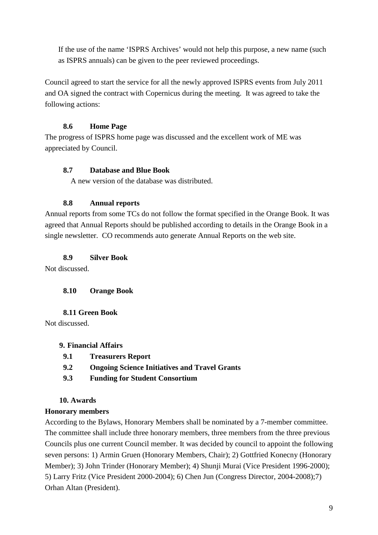If the use of the name 'ISPRS Archives' would not help this purpose, a new name (such as ISPRS annuals) can be given to the peer reviewed proceedings.

Council agreed to start the service for all the newly approved ISPRS events from July 2011 and OA signed the contract with Copernicus during the meeting. It was agreed to take the following actions:

# **8.6 Home Page**

The progress of ISPRS home page was discussed and the excellent work of ME was appreciated by Council.

# **8.7 Database and Blue Book**

A new version of the database was distributed.

# **8.8 Annual reports**

Annual reports from some TCs do not follow the format specified in the Orange Book. It was agreed that Annual Reports should be published according to details in the Orange Book in a single newsletter. CO recommends auto generate Annual Reports on the web site.

**8.9 Silver Book**

Not discussed.

# **8.10 Orange Book**

**8.11 Green Book** 

Not discussed.

# **9. Financial Affairs**

- **9.1 Treasurers Report**
- **9.2 Ongoing Science Initiatives and Travel Grants**
- **9.3 Funding for Student Consortium**

# **10. Awards**

# **Honorary members**

According to the Bylaws, Honorary Members shall be nominated by a 7-member committee. The committee shall include three honorary members, three members from the three previous Councils plus one current Council member. It was decided by council to appoint the following seven persons: 1) Armin Gruen (Honorary Members, Chair); 2) Gottfried Konecny (Honorary Member); 3) John Trinder (Honorary Member); 4) Shunji Murai (Vice President 1996-2000); 5) Larry Fritz (Vice President 2000-2004); 6) Chen Jun (Congress Director, 2004-2008);7) Orhan Altan (President).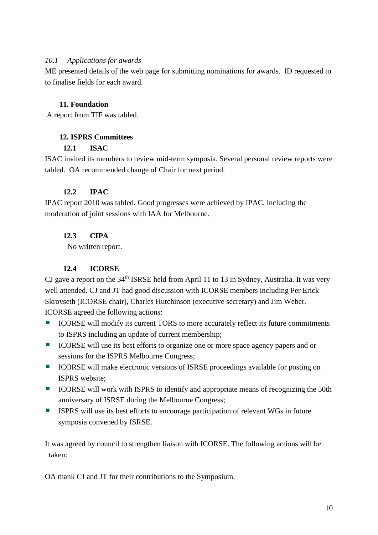### *10.1 Applications for awards*

ME presented details of the web page for submitting nominations for awards. ID requested to to finalise fields for each award.

# **11. Foundation**

A report from TIF was tabled.

# **12. ISPRS Committees**

### **12.1 ISAC**

ISAC invited its members to review mid-term symposia. Several personal review reports were tabled. OA recommended change of Chair for next period.

### **12.2 IPAC**

IPAC report 2010 was tabled. Good progresses were achieved by IPAC, including the moderation of joint sessions with IAA for Melbourne.

# **12.3 CIPA**

No written report.

# **12.4 ICORSE**

CJ gave a report on the  $34<sup>th</sup>$  ISRSE held from April 11 to 13 in Sydney, Australia. It was very well attended. CJ and JT had good discussion with ICORSE members including Per Erick Skrovseth (ICORSE chair), Charles Hutchinson (executive secretary) and Jim Weber. ICORSE agreed the following actions:

- ICORSE will modify its current TORS to more accurately reflect its future commitments to ISPRS including an update of current membership;
- ICORSE will use its best efforts to organize one or more space agency papers and or sessions for the ISPRS Melbourne Congress;
- **ICORSE** will make electronic versions of ISRSE proceedings available for posting on ISPRS website;
- **ICORSE** will work with ISPRS to identify and appropriate means of recognizing the 50th anniversary of ISRSE during the Melbourne Congress;
- ISPRS will use its best efforts to encourage participation of relevant WGs in future symposia convened by ISRSE.

It was agreed by council to strengthen liaison with ICORSE. The following actions will be taken:

OA thank CJ and JT for their contributions to the Symposium.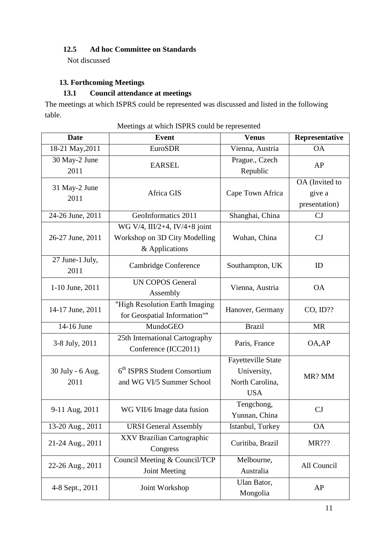# **12.5 Ad hoc Committee on Standards**

Not discussed

# **13. Forthcoming Meetings**

# **13.1 Council attendance at meetings**

The meetings at which ISPRS could be represented was discussed and listed in the following table.

| <b>Date</b>              | <b>Event</b>                                                                     | <b>Venus</b>                                                       | Representative                            |
|--------------------------|----------------------------------------------------------------------------------|--------------------------------------------------------------------|-------------------------------------------|
| 18-21 May, 2011          | <b>EuroSDR</b>                                                                   | Vienna, Austria                                                    | <b>OA</b>                                 |
| 30 May-2 June<br>2011    | <b>EARSEL</b>                                                                    | Prague., Czech<br>Republic                                         | AP                                        |
| 31 May-2 June<br>2011    | Africa GIS                                                                       | Cape Town Africa                                                   | OA (Invited to<br>give a<br>presentation) |
| 24-26 June, 2011         | GeoInformatics 2011                                                              | Shanghai, China                                                    | CJ                                        |
| 26-27 June, 2011         | WG V/4, III/2+4, IV/4+8 joint<br>Workshop on 3D City Modelling<br>& Applications | Wuhan, China                                                       | CJ                                        |
| 27 June-1 July,<br>2011  | Cambridge Conference                                                             | Southampton, UK                                                    | ID                                        |
| 1-10 June, 2011          | <b>UN COPOS General</b><br>Assembly                                              | Vienna, Austria                                                    | <b>OA</b>                                 |
| 14-17 June, 2011         | "High Resolution Earth Imaging<br>for Geospatial Information""                   | Hanover, Germany                                                   | $CO$ , $ID$ ??                            |
| 14-16 June               | MundoGEO                                                                         | <b>Brazil</b>                                                      | <b>MR</b>                                 |
| 3-8 July, 2011           | 25th International Cartography<br>Conference (ICC2011)                           | Paris, France                                                      | OA, AP                                    |
| 30 July - 6 Aug.<br>2011 | 6 <sup>th</sup> ISPRS Student Consortium<br>and WG VI/5 Summer School            | Fayetteville State<br>University,<br>North Carolina,<br><b>USA</b> | MR? MM                                    |
| 9-11 Aug, 2011           | WG VII/6 Image data fusion                                                       | Tengchong,<br>Yunnan, China                                        | CJ                                        |
| 13-20 Aug., 2011         | <b>URSI</b> General Assembly                                                     | Istanbul, Turkey                                                   | <b>OA</b>                                 |
| 21-24 Aug., 2011         | XXV Brazilian Cartographic<br>Congress                                           | Curitiba, Brazil                                                   | MR???                                     |
| 22-26 Aug., 2011         | Council Meeting & Council/TCP<br><b>Joint Meeting</b>                            | Melbourne,<br>Australia                                            | All Council                               |
| 4-8 Sept., 2011          | Joint Workshop                                                                   | Ulan Bator,<br>Mongolia                                            | AP                                        |

Meetings at which ISPRS could be represented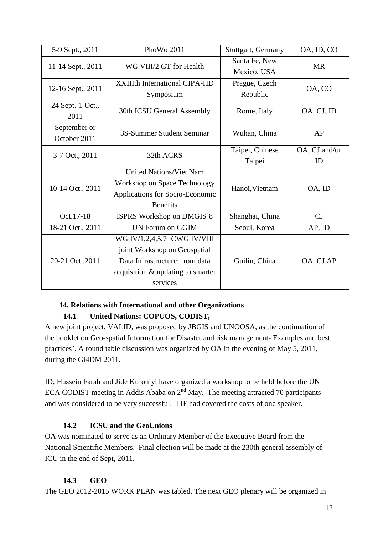| 5-9 Sept., 2011   | PhoWo 2011                           | Stuttgart, Germany | OA, ID, CO    |  |
|-------------------|--------------------------------------|--------------------|---------------|--|
| 11-14 Sept., 2011 | WG VIII/2 GT for Health              | Santa Fe, New      | <b>MR</b>     |  |
|                   |                                      | Mexico, USA        |               |  |
| 12-16 Sept., 2011 | <b>XXIIIth International CIPA-HD</b> | Prague, Czech      | OA, CO        |  |
|                   | Symposium                            | Republic           |               |  |
| 24 Sept.-1 Oct.,  | 30th ICSU General Assembly           | Rome, Italy        | OA, CJ, ID    |  |
| 2011              |                                      |                    |               |  |
| September or      | 3S-Summer Student Seminar            | Wuhan, China       | AP            |  |
| October 2011      |                                      |                    |               |  |
| 3-7 Oct., 2011    | 32th ACRS                            | Taipei, Chinese    | OA, CJ and/or |  |
|                   |                                      | Taipei             | ID            |  |
|                   | <b>United Nations/Viet Nam</b>       |                    | OA, ID        |  |
| 10-14 Oct., 2011  | Workshop on Space Technology         | Hanoi, Vietnam     |               |  |
|                   | Applications for Socio-Economic      |                    |               |  |
|                   | <b>Benefits</b>                      |                    |               |  |
| Oct.17-18         | ISPRS Workshop on DMGIS'8            | Shanghai, China    | CJ            |  |
| 18-21 Oct., 2011  | <b>UN Forum on GGIM</b>              | Seoul, Korea       | AP, ID        |  |
|                   | WG IV/1,2,4,5,7 ICWG IV/VIII         |                    |               |  |
| 20-21 Oct., 2011  | joint Workshop on Geospatial         |                    |               |  |
|                   | Data Infrastructure: from data       | Guilin, China      | OA, CJ, AP    |  |
|                   | acquisition & updating to smarter    |                    |               |  |
|                   | services                             |                    |               |  |

# **14. Relations with International and other Organizations**

# **14.1 United Nations: COPUOS, CODIST,**

A new joint project, VALID, was proposed by JBGIS and UNOOSA, as the continuation of the booklet on Geo-spatial Information for Disaster and risk management- Examples and best practices'. A round table discussion was organized by OA in the evening of May 5, 2011, during the Gi4DM 2011.

ID, Hussein Farah and Jide Kufoniyi have organized a workshop to be held before the UN ECA CODIST meeting in Addis Ababa on  $2<sup>nd</sup>$  May. The meeting attracted 70 participants and was considered to be very successful. TIF had covered the costs of one speaker.

# **14.2 ICSU and the GeoUnions**

OA was nominated to serve as an Ordinary Member of the Executive Board from the National Scientific Members. Final election will be made at the 230th general assembly of ICU in the end of Sept, 2011.

# **14.3 GEO**

The GEO 2012-2015 WORK PLAN was tabled. The next GEO plenary will be organized in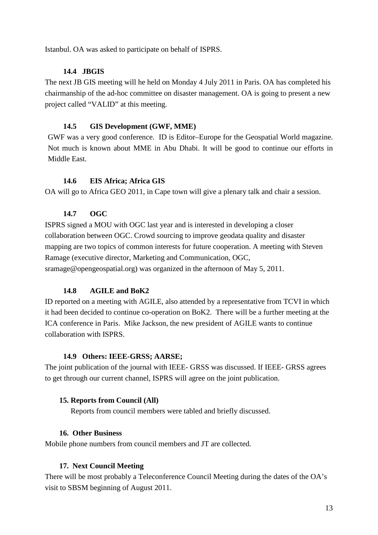Istanbul. OA was asked to participate on behalf of ISPRS.

# **14.4 JBGIS**

The next JB GIS meeting will he held on Monday 4 July 2011 in Paris. OA has completed his chairmanship of the ad-hoc committee on disaster management. OA is going to present a new project called "VALID" at this meeting.

# **14.5 GIS Development (GWF, MME)**

GWF was a very good conference. ID is Editor–Europe for the Geospatial World magazine. Not much is known about MME in Abu Dhabi. It will be good to continue our efforts in Middle East.

### **14.6 EIS Africa; Africa GIS**

OA will go to Africa GEO 2011, in Cape town will give a plenary talk and chair a session.

### **14.7 OGC**

ISPRS signed a MOU with OGC last year and is interested in developing a closer collaboration between OGC. Crowd sourcing to improve geodata quality and disaster mapping are two topics of common interests for future cooperation. A meeting with Steven Ramage (executive director, Marketing and Communication, OGC, sramage@opengeospatial.org) was organized in the afternoon of May 5, 2011.

# **14.8 AGILE and BoK2**

ID reported on a meeting with AGILE, also attended by a representative from TCVI in which it had been decided to continue co-operation on BoK2. There will be a further meeting at the ICA conference in Paris. Mike Jackson, the new president of AGILE wants to continue collaboration with ISPRS.

### **14.9 Others: IEEE-GRSS; AARSE;**

The joint publication of the journal with IEEE- GRSS was discussed. If IEEE- GRSS agrees to get through our current channel, ISPRS will agree on the joint publication.

# **15. Reports from Council (All)**

Reports from council members were tabled and briefly discussed.

# **16. Other Business**

Mobile phone numbers from council members and JT are collected.

# **17. Next Council Meeting**

There will be most probably a Teleconference Council Meeting during the dates of the OA's visit to SBSM beginning of August 2011.